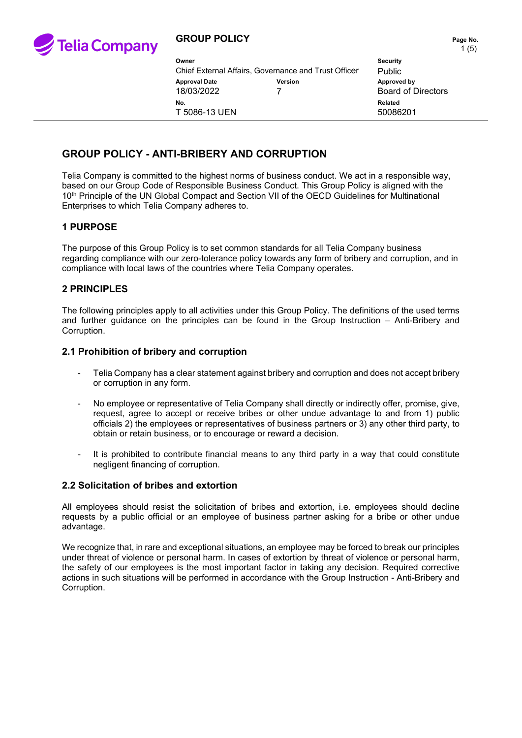

| Owner<br>Chief External Affairs, Governance and Trust Officer |         | <b>Security</b><br>Public |
|---------------------------------------------------------------|---------|---------------------------|
| <b>Approval Date</b><br>18/03/2022                            | Version | Approve<br>Board          |
| No.<br>T 5086-13 UEN                                          |         | Related<br>50086          |

**Approval Date Version Approved by** Board of Directors 50086201

# **GROUP POLICY - ANTI-BRIBERY AND CORRUPTION**

Telia Company is committed to the highest norms of business conduct. We act in a responsible way, based on our Group Code of Responsible Business Conduct. This Group Policy is aligned with the 10<sup>th</sup> Principle of the UN Global Compact and Section VII of the OECD Guidelines for Multinational Enterprises to which Telia Company adheres to.

# **1 PURPOSE**

The purpose of this Group Policy is to set common standards for all Telia Company business regarding compliance with our zero-tolerance policy towards any form of bribery and corruption, and in compliance with local laws of the countries where Telia Company operates.

# **2 PRINCIPLES**

The following principles apply to all activities under this Group Policy. The definitions of the used terms and further guidance on the principles can be found in the Group Instruction – Anti-Bribery and Corruption.

### **2.1 Prohibition of bribery and corruption**

- Telia Company has a clear statement against bribery and corruption and does not accept bribery or corruption in any form.
- No employee or representative of Telia Company shall directly or indirectly offer, promise, give, request, agree to accept or receive bribes or other undue advantage to and from 1) public officials 2) the employees or representatives of business partners or 3) any other third party, to obtain or retain business, or to encourage or reward a decision.
- It is prohibited to contribute financial means to any third party in a way that could constitute negligent financing of corruption.

#### **2.2 Solicitation of bribes and extortion**

All employees should resist the solicitation of bribes and extortion, i.e. employees should decline requests by a public official or an employee of business partner asking for a bribe or other undue advantage.

We recognize that, in rare and exceptional situations, an employee may be forced to break our principles under threat of violence or personal harm. In cases of extortion by threat of violence or personal harm, the safety of our employees is the most important factor in taking any decision. Required corrective actions in such situations will be performed in accordance with the Group Instruction - Anti-Bribery and Corruption.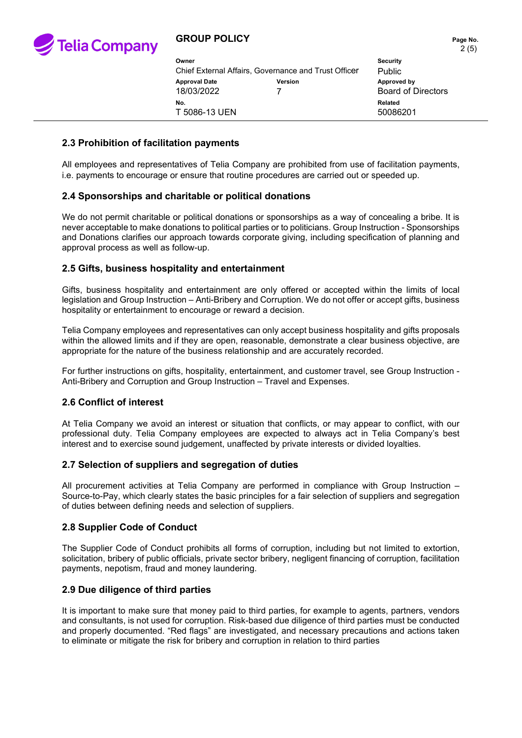

# **GROUP POLICY PAGE 10 AND THE PAGE NO.** Page No.

| Owner<br>Chief External Affairs, Governance and Trust Officer |                | <b>Security</b><br><b>Public</b>         |
|---------------------------------------------------------------|----------------|------------------------------------------|
| <b>Approval Date</b><br>18/03/2022                            | <b>Version</b> | Approved by<br><b>Board of Directors</b> |
| No.<br>T 5086-13 UEN                                          |                | Related<br>50086201                      |

### **2.3 Prohibition of facilitation payments**

All employees and representatives of Telia Company are prohibited from use of facilitation payments, i.e. payments to encourage or ensure that routine procedures are carried out or speeded up.

### **2.4 Sponsorships and charitable or political donations**

We do not permit charitable or political donations or sponsorships as a way of concealing a bribe. It is never acceptable to make donations to political parties or to politicians. Group Instruction - Sponsorships and Donations clarifies our approach towards corporate giving, including specification of planning and approval process as well as follow-up.

### **2.5 Gifts, business hospitality and entertainment**

Gifts, business hospitality and entertainment are only offered or accepted within the limits of local legislation and Group Instruction – Anti-Bribery and Corruption. We do not offer or accept gifts, business hospitality or entertainment to encourage or reward a decision.

Telia Company employees and representatives can only accept business hospitality and gifts proposals within the allowed limits and if they are open, reasonable, demonstrate a clear business objective, are appropriate for the nature of the business relationship and are accurately recorded.

For further instructions on gifts, hospitality, entertainment, and customer travel, see Group Instruction - Anti-Bribery and Corruption and Group Instruction – Travel and Expenses.

#### **2.6 Conflict of interest**

At Telia Company we avoid an interest or situation that conflicts, or may appear to conflict, with our professional duty. Telia Company employees are expected to always act in Telia Company's best interest and to exercise sound judgement, unaffected by private interests or divided loyalties.

### **2.7 Selection of suppliers and segregation of duties**

All procurement activities at Telia Company are performed in compliance with Group Instruction – Source-to-Pay, which clearly states the basic principles for a fair selection of suppliers and segregation of duties between defining needs and selection of suppliers.

#### **2.8 Supplier Code of Conduct**

The Supplier Code of Conduct prohibits all forms of corruption, including but not limited to extortion, solicitation, bribery of public officials, private sector bribery, negligent financing of corruption, facilitation payments, nepotism, fraud and money laundering.

#### **2.9 Due diligence of third parties**

It is important to make sure that money paid to third parties, for example to agents, partners, vendors and consultants, is not used for corruption. Risk-based due diligence of third parties must be conducted and properly documented. "Red flags" are investigated, and necessary precautions and actions taken to eliminate or mitigate the risk for bribery and corruption in relation to third parties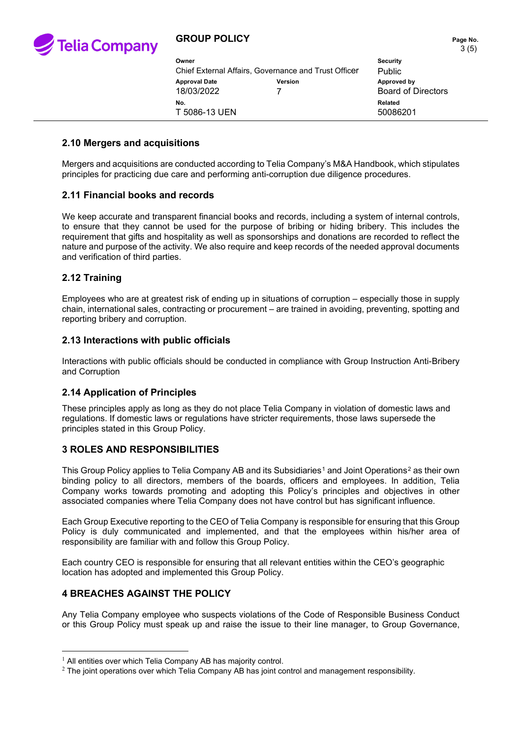

# **GROUP POLICY PAGE 10. Page No. Page No.**

| Owner                              | Chief External Affairs, Governance and Trust Officer | <b>Security</b><br><b>Public</b>         |
|------------------------------------|------------------------------------------------------|------------------------------------------|
| <b>Approval Date</b><br>18/03/2022 | Version                                              | Approved by<br><b>Board of Directors</b> |
| No.<br>T 5086-13 UEN               |                                                      | Related<br>50086201                      |

### **2.10 Mergers and acquisitions**

Mergers and acquisitions are conducted according to Telia Company's M&A Handbook, which stipulates principles for practicing due care and performing anti-corruption due diligence procedures.

### **2.11 Financial books and records**

We keep accurate and transparent financial books and records, including a system of internal controls, to ensure that they cannot be used for the purpose of bribing or hiding bribery. This includes the requirement that gifts and hospitality as well as sponsorships and donations are recorded to reflect the nature and purpose of the activity. We also require and keep records of the needed approval documents and verification of third parties.

# **2.12 Training**

Employees who are at greatest risk of ending up in situations of corruption – especially those in supply chain, international sales, contracting or procurement – are trained in avoiding, preventing, spotting and reporting bribery and corruption.

### **2.13 Interactions with public officials**

Interactions with public officials should be conducted in compliance with Group Instruction Anti-Bribery and Corruption

# **2.14 Application of Principles**

These principles apply as long as they do not place Telia Company in violation of domestic laws and regulations. If domestic laws or regulations have stricter requirements, those laws supersede the principles stated in this Group Policy.

#### **3 ROLES AND RESPONSIBILITIES**

This Group Policy applies to Telia Company AB and its Subsidiaries<sup>[1](#page-2-0)</sup> and Joint Operations<sup>[2](#page-2-1)</sup> as their own binding policy to all directors, members of the boards, officers and employees. In addition, Telia Company works towards promoting and adopting this Policy's principles and objectives in other associated companies where Telia Company does not have control but has significant influence.

Each Group Executive reporting to the CEO of Telia Company is responsible for ensuring that this Group Policy is duly communicated and implemented, and that the employees within his/her area of responsibility are familiar with and follow this Group Policy.

Each country CEO is responsible for ensuring that all relevant entities within the CEO's geographic location has adopted and implemented this Group Policy.

# **4 BREACHES AGAINST THE POLICY**

Any Telia Company employee who suspects violations of the Code of Responsible Business Conduct or this Group Policy must speak up and raise the issue to their line manager, to Group Governance,

<span id="page-2-0"></span> $1$  All entities over which Telia Company AB has majority control.

<span id="page-2-1"></span> $2$  The joint operations over which Telia Company AB has joint control and management responsibility.